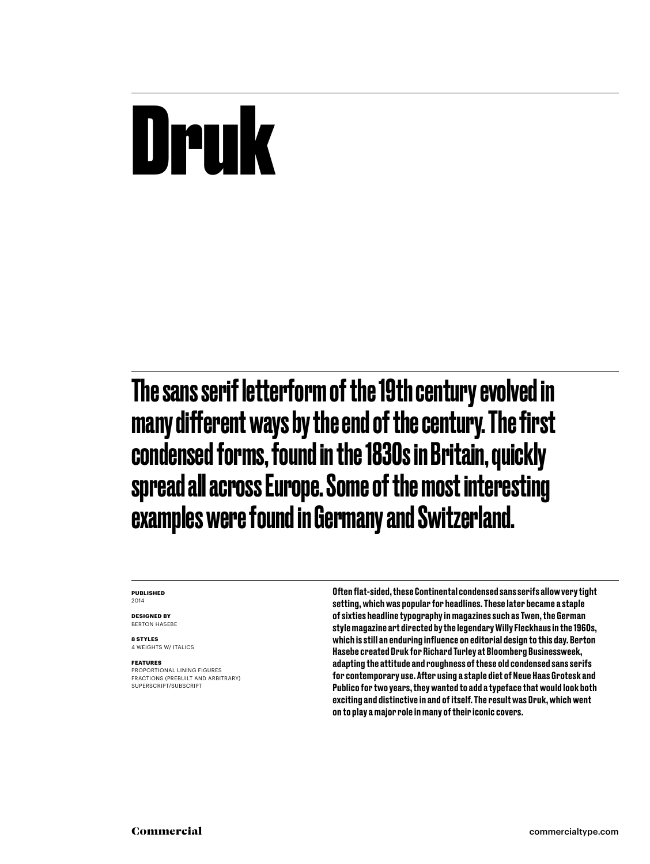## Druk

The sans serif letterform of the 19th century evolved in many different ways by the end of the century. The first condensed forms, found in the 1830s in Britain, quickly spread all across Europe. Some of the most interesting examples were found in Germany and Switzerland.

#### **Published** 2014

**Designed by** Berton hasebe

**8 styles** 4 weights w/ ITALICS

#### **Features**

PROPORTIONAL LINING FIGURES FRACTIONS (prebuilt and arbitrary) SUPERSCRIPT/SUBSCRIPT

Often flat-sided, these Continental condensed sans serifs allow very tight setting, which was popular for headlines. These later became a staple of sixties headline typography in magazines such as Twen, the German style magazine art directed by the legendary Willy Fleckhaus in the 1960s, which is still an enduring influence on editorial design to this day. Berton Hasebe created Druk for Richard Turley at Bloomberg Businessweek, adapting the attitude and roughness of these old condensed sans serifs for contemporary use. After using a staple diet of Neue Haas Grotesk and Publico for two years, they wanted to add a typeface that would look both exciting and distinctive in and of itself. The result was Druk, which went on to play a major role in many of their iconic covers.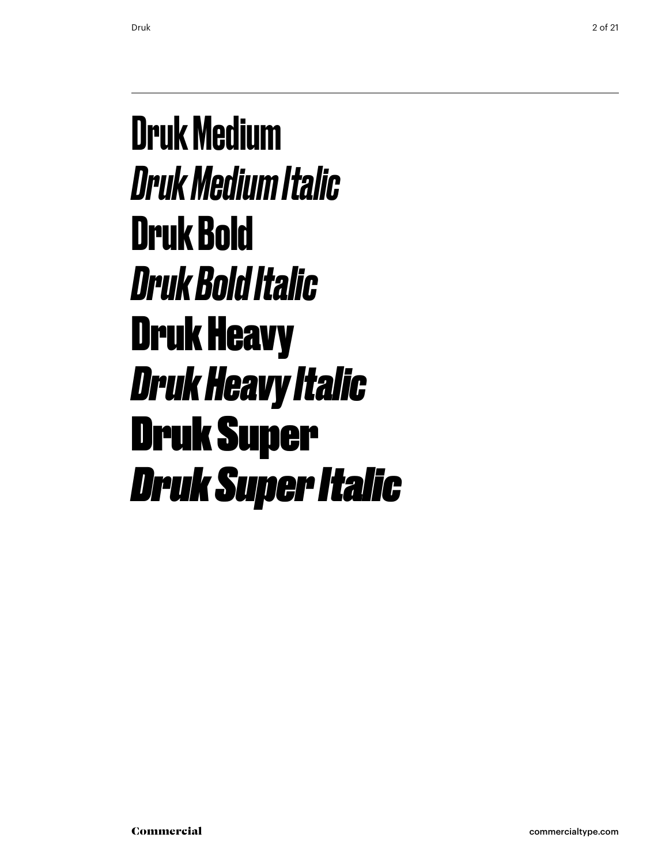#### Druk Medium *Druk Medium Italic* **Druk Bold** *Druk Bold Italic* Druk Heavy *Druk Heavy Italic* Druk Super *Druk Super Italic*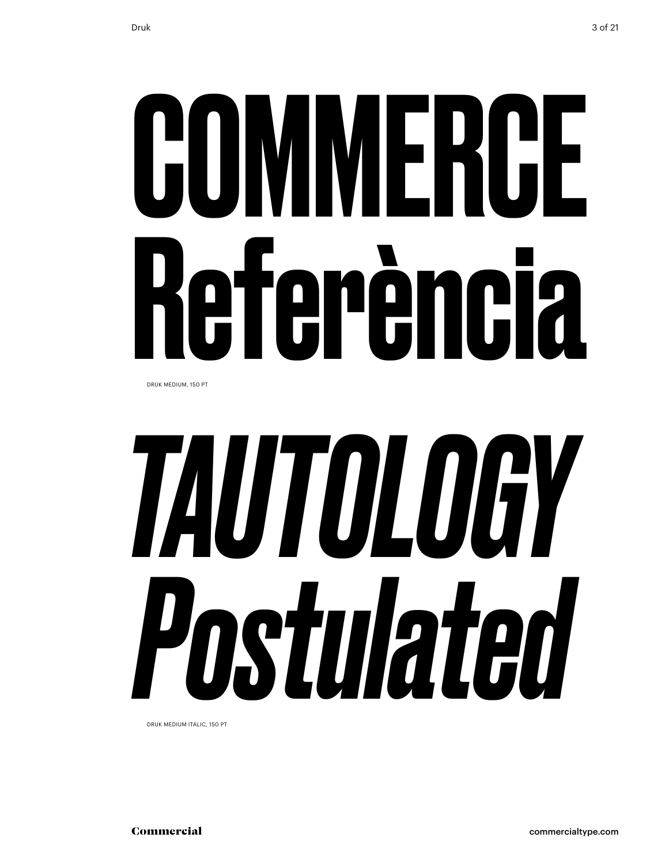# COMMERCE Referència

Druk medium, 150 Pt

# *Tautology Postulated*

Druk medium italic, 150 Pt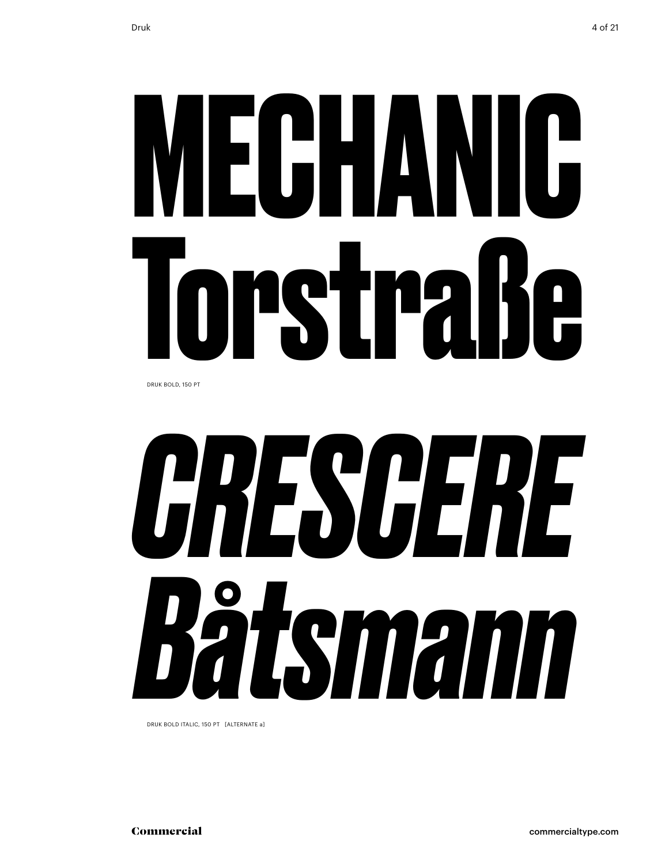# **mechanic Torstraße**

Druk bold, 150 Pt



Druk bold italic, 150 Pt [alternate a]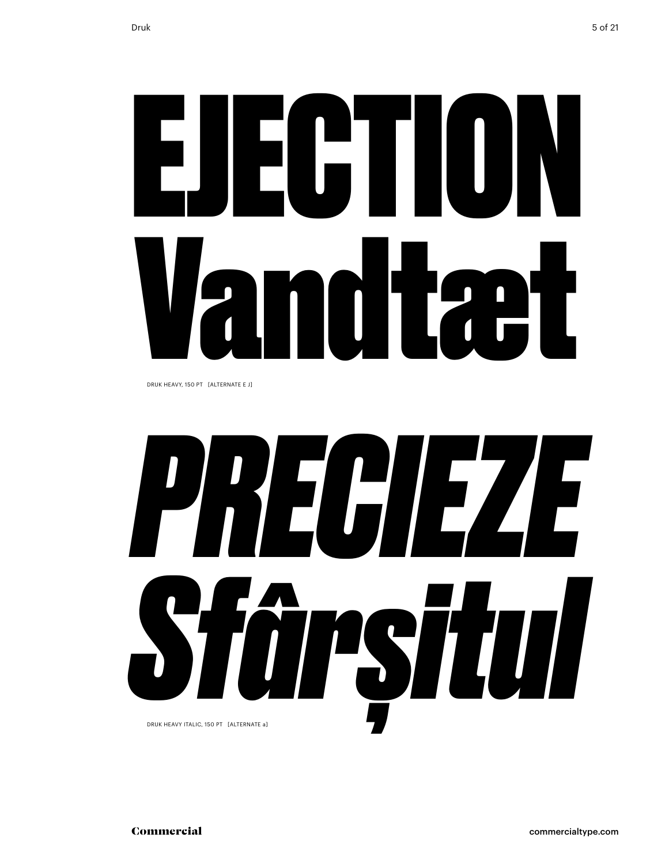# ejection Vandtæt

Druk heavy, 150 Pt [alternate e j]

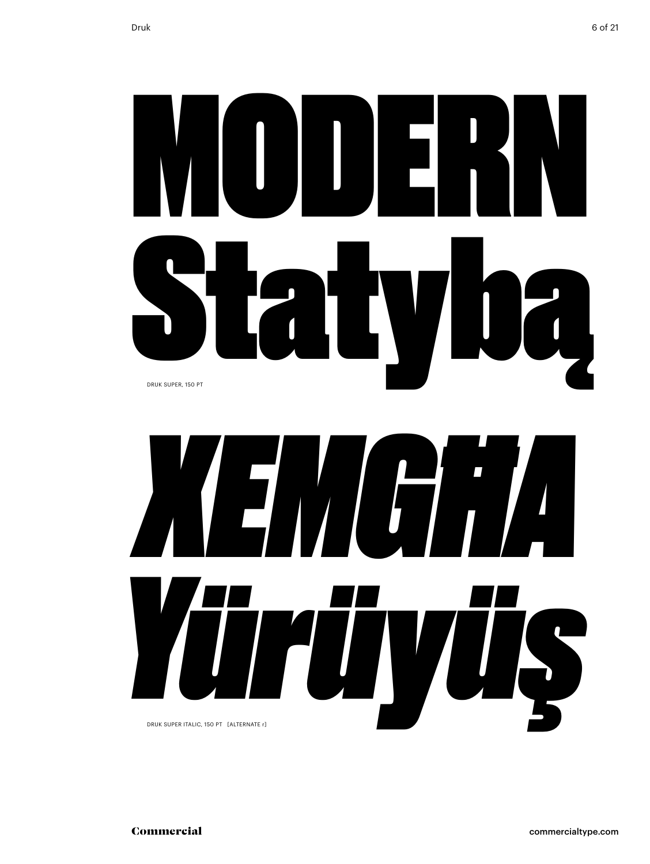## **MODER** atyba Druk super, 150 Pt

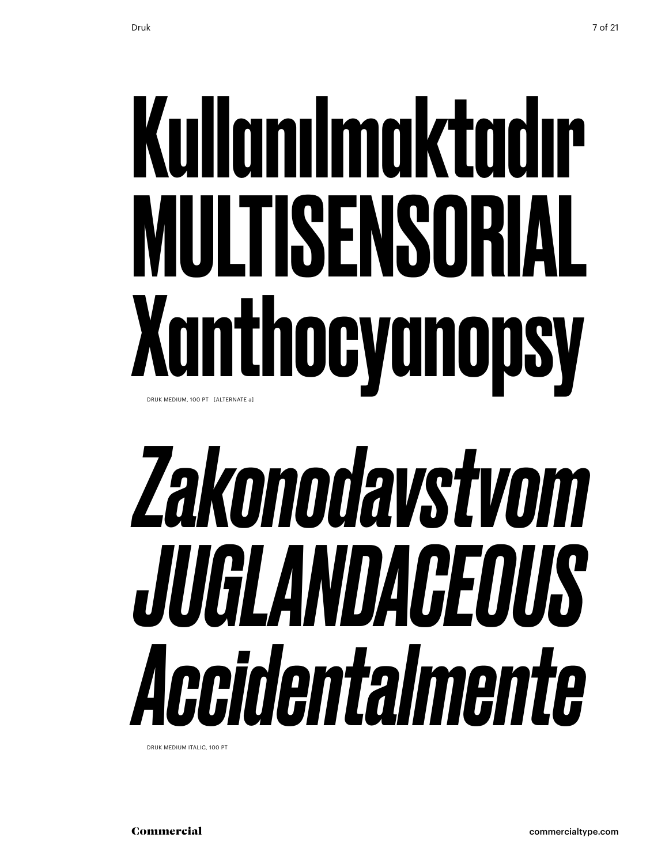## Kullanılmaktadır multisensorial Xanthocyanopsy Druk medium, 100 Pt [alternate a]

## *Zakonodavstvom juglandaceous Accidentalmente*

Druk medium italic, 100 Pt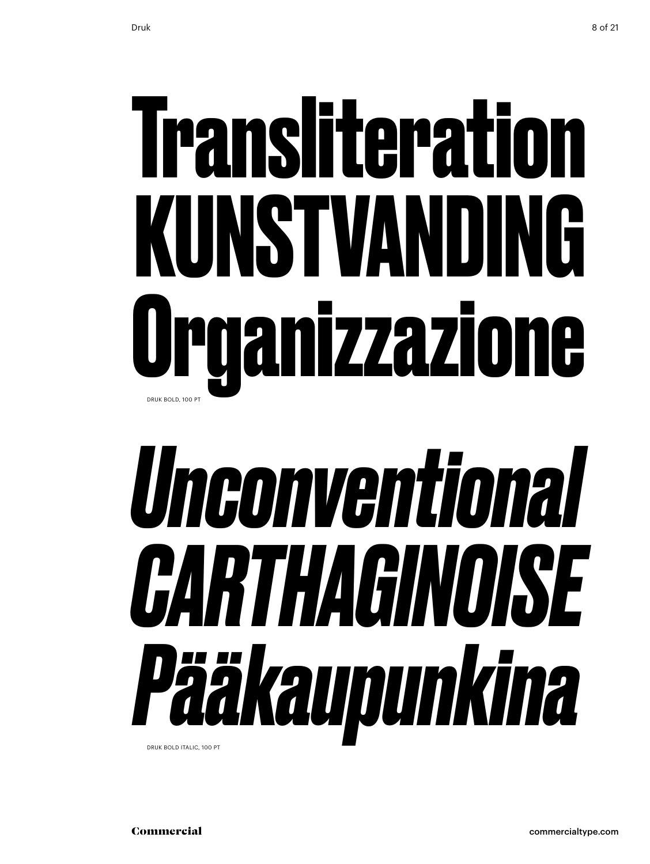## **Transliteration kunstvanding Organizzazione** Druk bold, 100 Pt

## *Unconventional Carthaginoise Pääkaupunkina* Druk bold italic, 100 Pt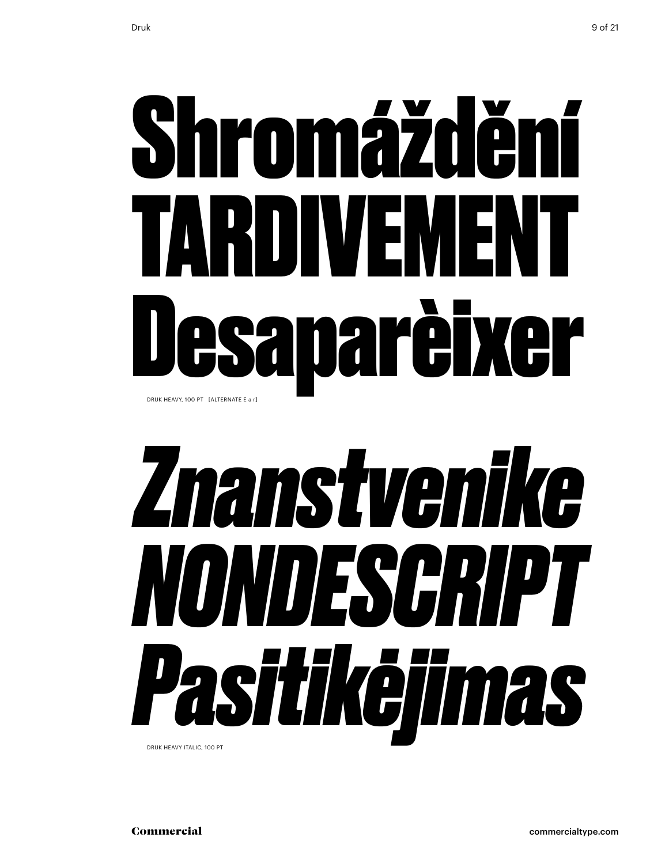## Shromáždění tardivement Desaparèixer Druk heavy, 100 Pt [alternate e a r]

## *Znanstvenike nondescript Pasitikėjimas*

Druk heavy italic, 100 Pt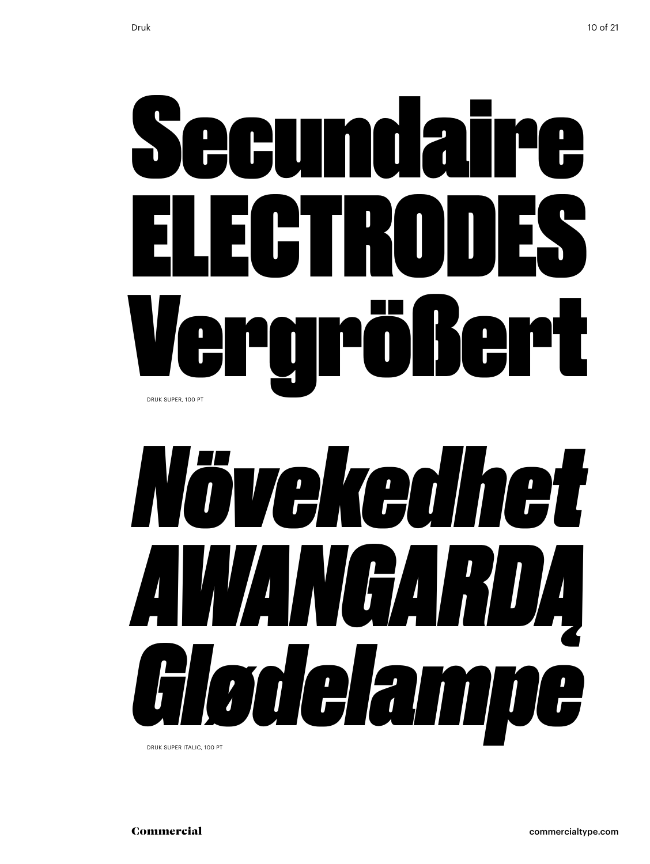



Druk super italic, 100 Pt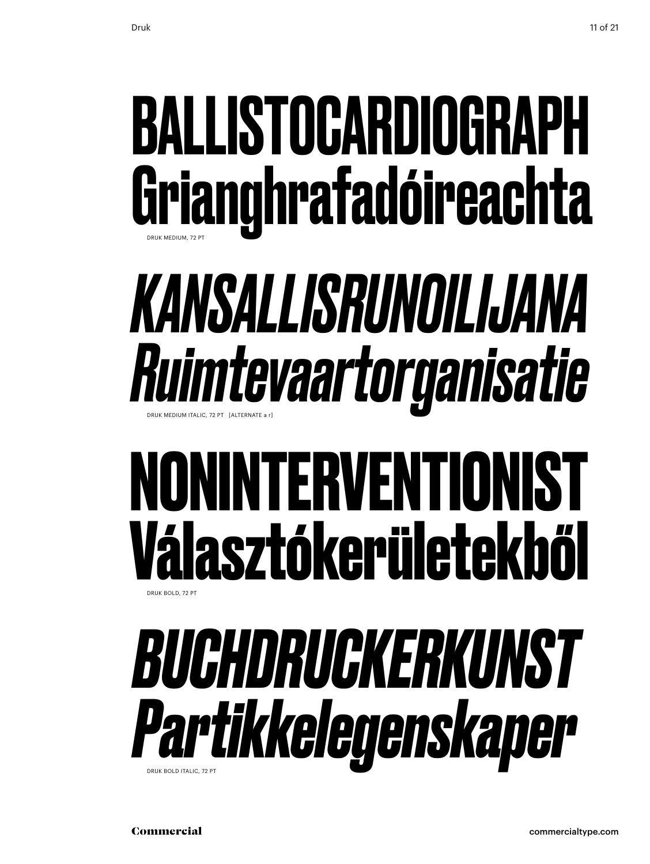### ballistocardiograph Grianghrafadóireachta Druk medium, 72 Pt

### *kansallisrunoilijana Ruimtevaartorganisatie* Druk medium italic, 72 Pt [alternate a r]

#### **noninterventionist Választókerületekből** Druk Bold, 72 Pt



Commercial commercialtype.com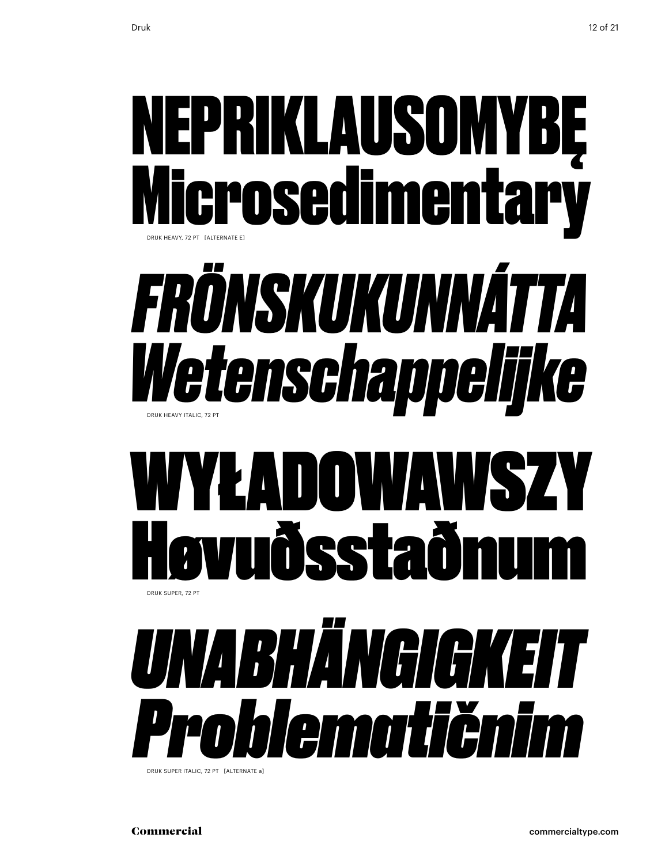

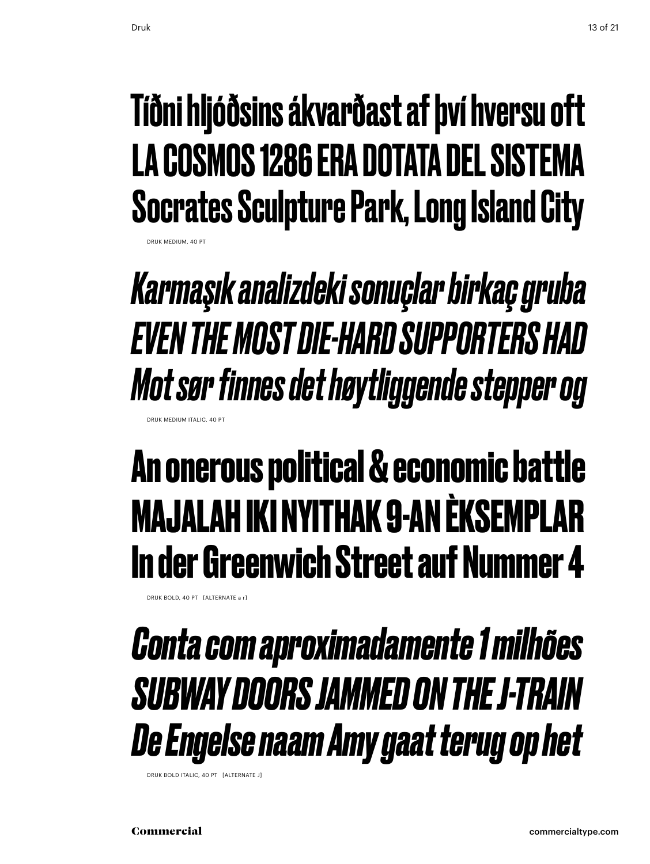#### Tíðni hljóðsins ákvarðast af því hversu oft La Cosmos 1286 era dotata del sistema Socrates Sculpture Park, Long Island City

*Karmaşık analizdeki sonuçlar birkaç gruba even the mostdie-hard supporters had Mot sør finnes det høytliggende stepper og* Druk medium italic, 40 Pt

#### **An onerous political & economic battle majalah iki nyithak 9-an èksemplar In der Greenwich Street auf Nummer 4**

Druk bold, 40 Pt [alternate a r]

#### *Conta com aproximadamente 1 milhões subway doors jammed on the j-train De Engelse naam Amy gaat terug op het*

Druk bold italic, 40 Pt [alternate j]

Druk medium, 40 Pt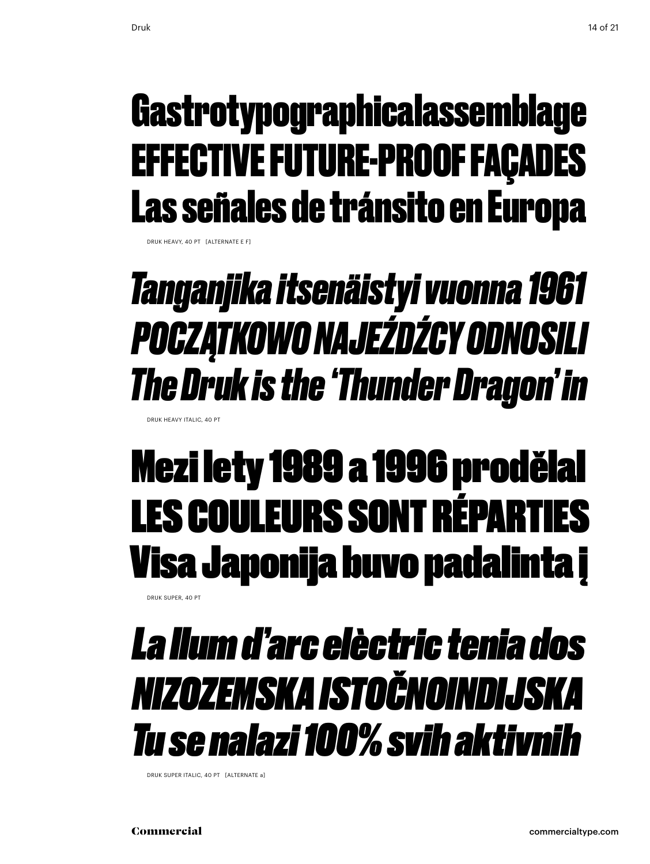#### Gastrotypographicalassemblage effective future-proof façades Las señales de tránsito en Europa

Druk Heavy, 40 Pt [alternate e f]

#### *Tanganjika itsenäistyi vuonna 1961 Początkowo najeźdźcy odnosili The Druk is the 'Thunder Dragon' in*

Druk Heavy italic, 40 Pt

#### Mezi lety 1989 a 1996 prodělal Les couleurs sont réparties Visa Japonija buvo padalinta į

Druk Super, 40 Pt

#### *La llum d'arc elèctric tenia dos Nizozemska istočnoindijska Tu se nalazi 100% svih aktivnih*

Druk Super italic, 40 Pt [alternate a]

Commercial commercialtype.com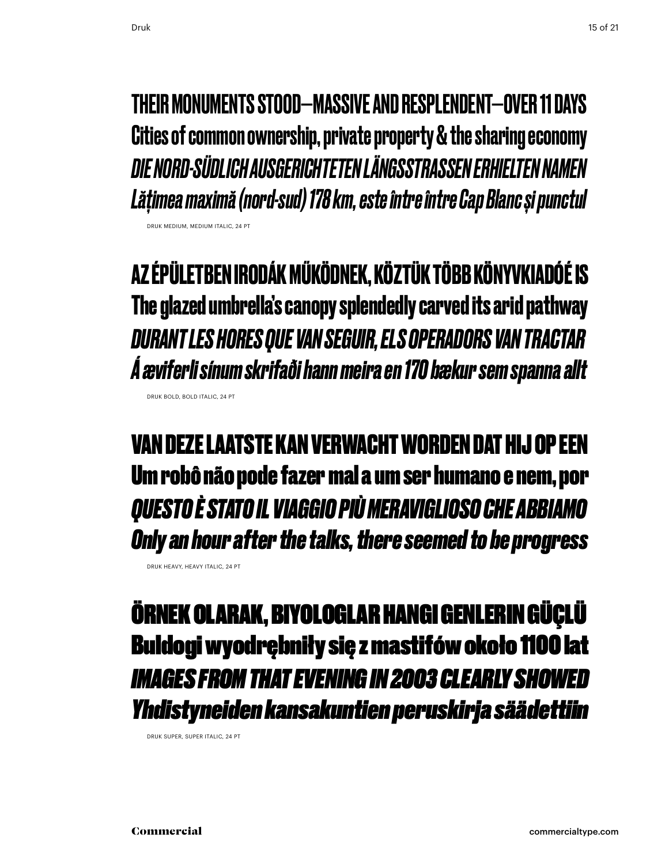Druk medium, medium italic, 24 Pt

Druk bold, bold italic, 24 Pt

their monumentsstood—massive and resplendent—over 11 days Cities of common ownership, private property & the sharing economy *Die nord-südlich ausgerichteten LängsstraSSen erhielten Namen Lățimea maximă (nord-sud) 178 km, este între între Cap Blanc și punctul*

**Az épületben irodák működnek, köztük több könyvkiadóé is The glazed umbrella's canopy splendedly carved its arid pathway** *Durant les hores que van seguir, els operadors van tractar Á æviferli sínum skrifaði hann meira en 170 bækur sem spanna allt*

Van deze laatste kan verwacht worden dat hij op een Um robô não pode fazer mal a um ser humano e nem, por *Questo è stato il viaggio più meraviglioso che abbiamo Only an hour after the talks, there seemed to be progress*

Örnek olarak, biyologlar hangi genlerin güçlü Buldogi wyodrębniły się z mastifów około 1100 lat *images from that evening in 2003 clearlyshowed Yhdistyneiden kansakuntien peruskirja säädettiin*

Druk super, super italic, 24 Pt

Druk heavy, heavy italic, 24 Pt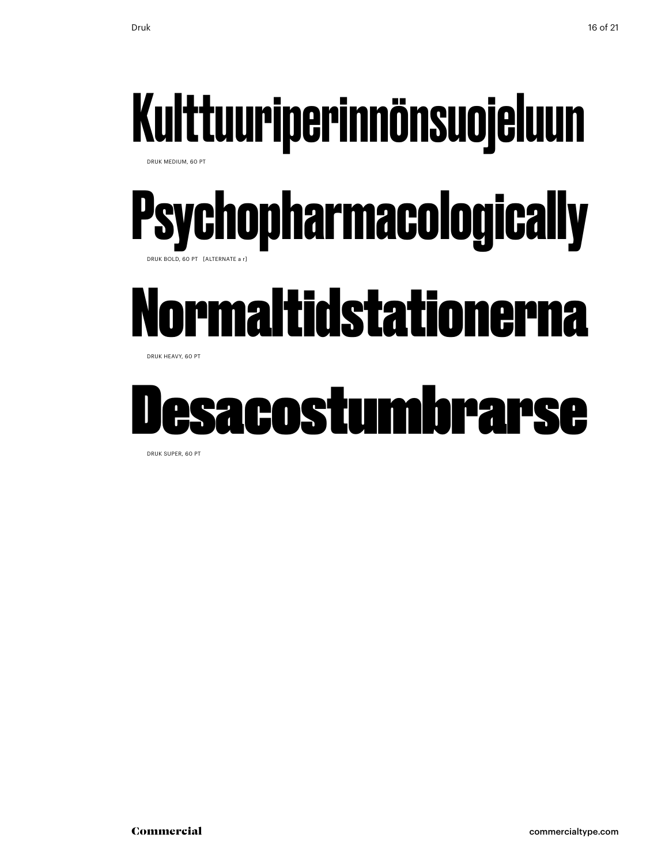### Kulttuuriperinnönsuojeluun

Druk medium, 60 Pt

#### **Psychopharmacologically** Druk bold, 60 Pt [alternate a r]

### Normaltidstationerna

DRUK HEAVY, 60 PT

### Desacostumbrarse

Druk super, 60 Pt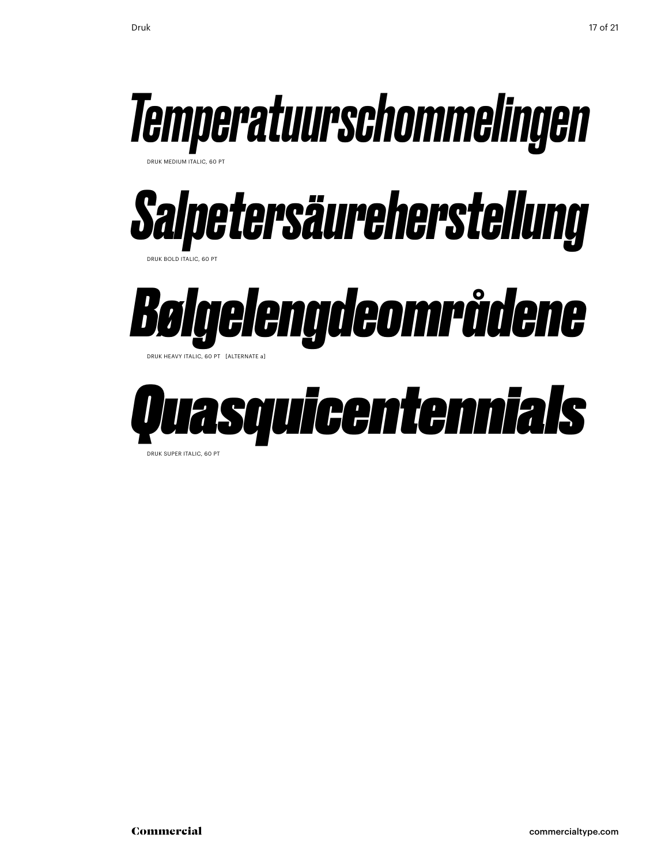

Druk super italic, 60 Pt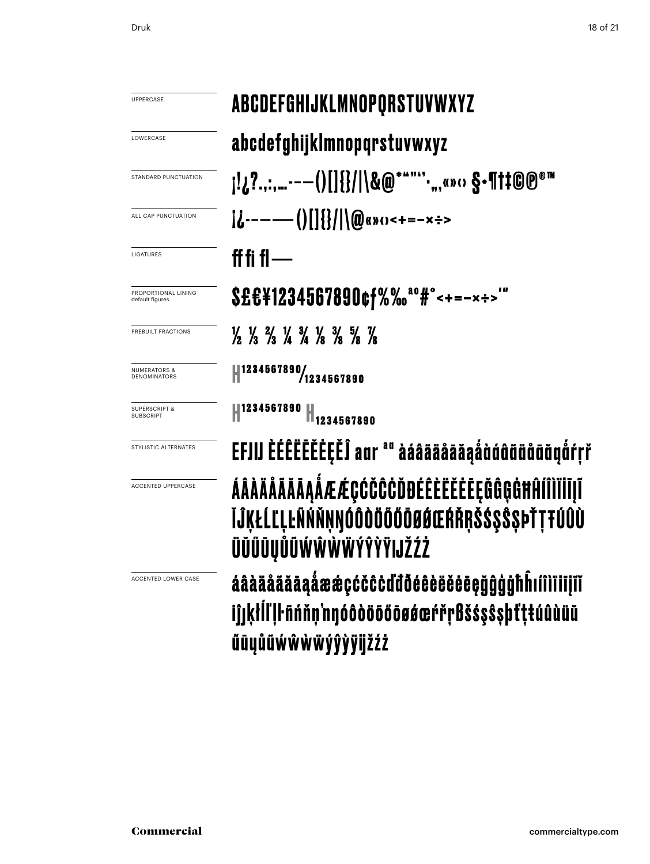| Druk | 18 of 21 |
|------|----------|
|      |          |

| UPPERCASE                                      | ABCDEFGHIJKLMNOPQRSTUVWXYZ                                                                                                    |
|------------------------------------------------|-------------------------------------------------------------------------------------------------------------------------------|
| LOWERCASE                                      | abcdefghijklmnopqrstuvwxyz                                                                                                    |
| STANDARD PUNCTUATION                           | ]!¿?.,:,--—()[]{}/ \&@*""՛՛՝.",«»⇔ §•¶†‡©℗®™                                                                                  |
| ALL CAP PUNCTUATION                            | $i$ .-----()[]{}/ \@«»()<+=-x÷>                                                                                               |
| LIGATURES                                      | ff fi fl —                                                                                                                    |
| PROPORTIONAL LINING<br>default figures         | \$£€¥1234567890¢f%‰ <sup>ao</sup> #°<+=-×÷>"                                                                                  |
| PREBUILT FRACTIONS                             | $\frac{1}{2}$ $\frac{1}{3}$ $\frac{2}{3}$ $\frac{1}{4}$ $\frac{3}{4}$ $\frac{1}{8}$ $\frac{3}{8}$ $\frac{5}{8}$ $\frac{7}{8}$ |
| <b>NUMERATORS &amp;</b><br><b>DENOMINATORS</b> | 41234567890/1234567890                                                                                                        |
| <b>SUPERSCRIPT &amp;</b><br><b>SUBSCRIPT</b>   | 1234567890<br>1234567890                                                                                                      |
| STYLISTIC ALTERNATES                           | EFJIJ ÈÉÊËËËËËË aar <sup>aa</sup> àáâääåāǎąåàáâããããã dra                                                                      |
| <b>ACCENTED UPPERCASE</b>                      | ÁÂÀÄÄÄÄĀĀĄÅÆÆÇĆČĈĊĎĐÉÊÈËĔĔĒĘĞĜĢĠĦĤÍÎÌĬĪĪļĨ<br>ĬĴĶŁĹĽĻĿÑŃŇŅŊÓÔÒÖŐŐŐØØŒŔŘŖŠŚŞŜŞÞŤŢŦÚÛÙ<br>ÜŬŰŪŲŮŨŴŴŴŴÝŶŸŸIJŽŹŻ                  |
| ACCENTED LOWER CASE                            | áâàääääāaåææçćčĉċďđðéêèëěēegğĝģġħhıíîìïi                                                                                      |

**filistili** iĵjķłĺľļŀñńňņ'nŋóôòōōőōøøœŕřŗßšśşŝşþťţŧúûùüŭ űūųůũẃŵŵẅýŷỳÿijžźż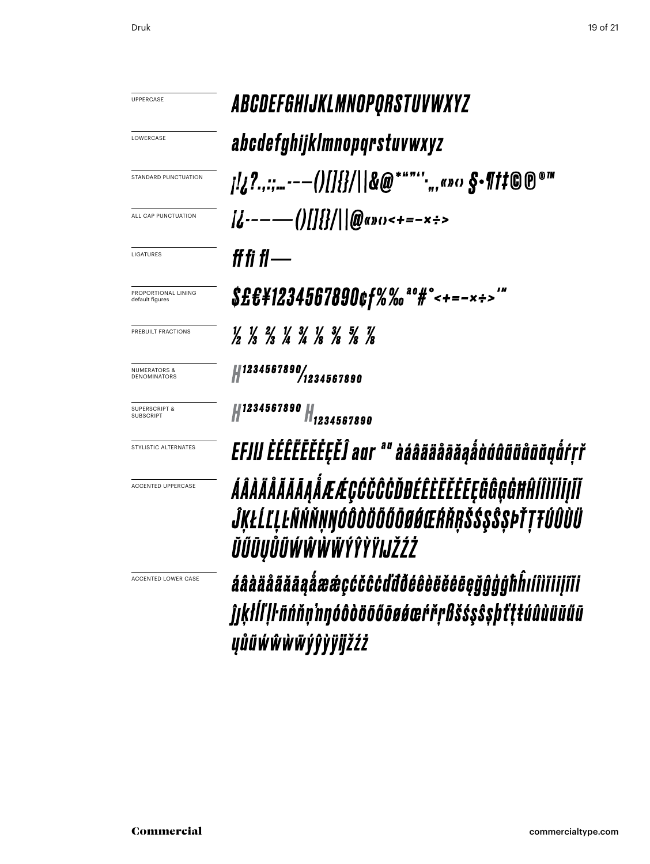| <b>UPPERCASE</b>                             | <i><b>ABCDEFGHIJKLMNOPQRSTUVWXYZ</b></i>                                                                                      |
|----------------------------------------------|-------------------------------------------------------------------------------------------------------------------------------|
| LOWERCASE                                    | abcdefghijklmnopqrstuvwxyz                                                                                                    |
| STANDARD PUNCTUATION                         |                                                                                                                               |
| ALL CAP PUNCTUATION                          | $i$ <i>i</i> <sub>i</sub> ------()[]{}/  @ayo<+=-x÷>                                                                          |
| LIGATURES                                    | ff fi fl —                                                                                                                    |
| PROPORTIONAL LINING<br>default figures       | \$£€¥1234567890¢f%‰ <sup>ao</sup> #°<+=-×÷>'"                                                                                 |
| PREBUILT FRACTIONS                           | $\frac{1}{2}$ $\frac{1}{3}$ $\frac{2}{3}$ $\frac{1}{4}$ $\frac{3}{4}$ $\frac{1}{8}$ $\frac{3}{8}$ $\frac{5}{8}$ $\frac{7}{8}$ |
| <b>NUMERATORS &amp;</b><br>DENOMINATORS      | Hata   1234567890<br>1234567890/                                                                                              |
| <b>SUPERSCRIPT &amp;</b><br><b>SUBSCRIPT</b> | 1234567890<br>.<br>H <sub>1234567890</sub>                                                                                    |
| STYLISTIC ALTERNATES                         | EFJIJ ĚÉÊËĒĔĔĒĒĒĴ aur ª" àáâãäåāăaåùúûũüåōŏgåŕŗř                                                                              |
| <b>ACCENTED UPPERCASE</b>                    | ÁÂÀÄÄÄÄĀĀĄÅÆÆÇĆČĈĊĎĐÉÊÈËĔĔĘĞĜĢĠĦĤÍÎÌĬĬĬĮĨĬ<br>ĴKŁĹĽLĿÑŃŇŅŊÓÔÒŎŎŐŎØŔŒŔŘŖŠŚŞŜŞÞŤŢŦÚÛÙÜ<br>ŬŰŪŲŬŨŴŴŴŴŶŶŶŸIJŽŹŻ                   |
| <b>ACCENTED LOWER CASE</b>                   | áâàäâããāaåææcćčĉċďđÕéêèëĕĕĕēēñôóōblílililil                                                                                   |

áâàäãããāąåææçćčĉċďđðéêèëěēęğĝģģħĥıíîìīiiįĩĭi ĵjķłĺľļŀñńňņ'nŋóôòöööøøæŕřŗßšśşŝşþťţŧúûùüŭűū **yůű**wŵŵŵyŷỳÿijžźż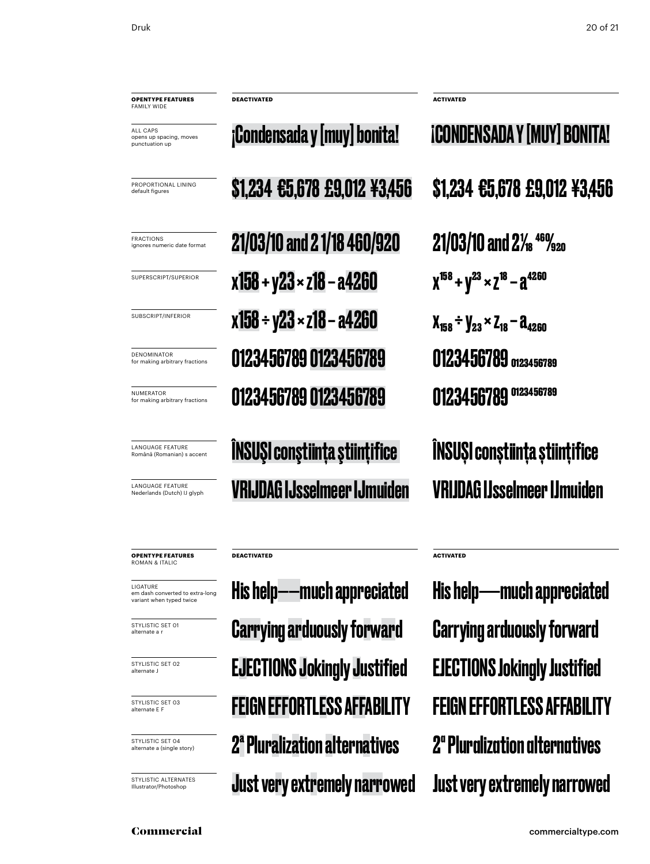default figures

FRACTIONS

NUMERATOR

DENOMINATOR

all caps

**FAMILY WIDE** 

**EXECONDENSADA Y [MUY] bonita! iCONDENSADA Y [MUY] BONITA!** ÎNSUŞI conştiinţa ştiinţifice PROPORTIONAL LINING opens up spacing, moves punctuation up **opentype FEATUREs** ignores numeric date format SUPERscript/superior subscript/inferior for making arbitrary fractions for making arbitrary fractions LANGUAGE FEATURE Română (Romanian) s accent LANGUAGE FEATURE Nederlands (Dutch) IJ glyph **DEACTIVATED ACTIVATED**

\$1,234 €5,678 £9,012 ¥3,456 \$1,234 €5,678 £9,012 ¥3,456  $21/03/10$  and 2 1/18 460/920 21/03/10 and 2<sup>1/</sup><sub>8</sub> 46%<sub>20</sub>  $x158 + y23 \times z18 - a4260$   $x^{158} + y^{23} \times z^{18} - a^{4260}$  $x158 \div y23 \times z18 - a4260$   $x_{158} \div y_{23} \times z_{18} - a_{4260}$ 0123456789 0123456789 0123456789 0123456789 0123456789 0123456789 0123456789 0123456789

VRIJDAG IJsselmeer IJmuiden VRIJDAG IJsselmeer IJmuiden ÎNSUŞI conştiinţa ştiinţifice

**opentype FEATUREs** ROMAN & Italic

ligature em dash converted to extra-long variant when typed twice

STYLISTIC SET 01 alternate a r

STYLISTIC SFT 02 alternate J

STYLISTIC SET 03 alternate E F

STYLISTIC SET 04 alternate a (single story)

STYLISTIC ALTERNATES Illustrator/Photoshop

Carrying arduously forward His help——much appreciated EJECTIONS Jokingly Justified EJECTIONS Jokingly Justified Feign effortless affability Feign effortless affability 2ªPluralization alternatives 2ª Pluralization alternatives Just very extremely narrowed Just very extremely narrowed

**DEACTIVATED ACTIVATED**

Carrying arduously forward His help——much appreciated